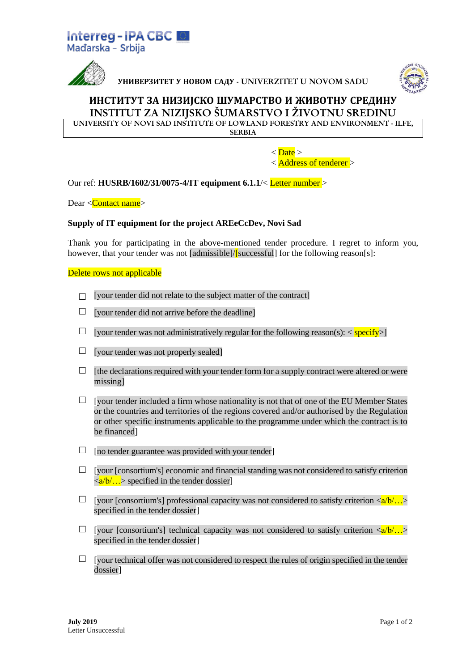



**УНИВЕРЗИТЕТ У НОВОМ САДУ** - UNIVERZITET U NOVOM SADU



## **ИНСТИТУТ ЗА НИЗИЈСКО ШУМАРСТВО И ЖИВОТНУ СРЕДИНУ** INSTITUT ZA NIZIJSKO ŠUMARSTVO I ŽIVOTNU SREDINU

UNIVERSITY OF NOVI SAD INSTITUTE OF LOWLAND FORESTRY AND ENVIRONMENT - ILFE,

**SERBIA** 

 $\langle$  Date  $>$ < Address of tenderer >

Our ref: **HUSRB/1602/31/0075-4/IT equipment 6.1.1**/< Letter number >

Dear <Contact name>

## **Supply of IT equipment for the project AREeCcDev, Novi Sad**

Thank you for participating in the above-mentioned tender procedure. I regret to inform you, however, that your tender was not [admissible]/[successful] for the following reason[s]:

Delete rows not applicable

- $\Box$  [your tender did not relate to the subject matter of the contract]
- $\Box$  [your tender did not arrive before the deadline]
- $\Box$  [your tender was not administratively regular for the following reason(s): < specify>]
- $\Box$  [your tender was not properly sealed]
- $\Box$  [the declarations required with your tender form for a supply contract were altered or were missing]
- $\Box$  [your tender included a firm whose nationality is not that of one of the EU Member States or the countries and territories of the regions covered and/or authorised by the Regulation or other specific instruments applicable to the programme under which the contract is to be financed]
- $\Box$  [no tender guarantee was provided with your tender]
- $\Box$  [your [consortium's] economic and financial standing was not considered to satisfy criterion  $\langle a/b \rangle$ ...  $>$  specified in the tender dossier]
- $\Box$  [your [consortium's] professional capacity was not considered to satisfy criterion  $\langle a/b' \rangle$ ... specified in the tender dossier]
- [your [consortium's] technical capacity was not considered to satisfy criterion  $\langle a/b, \ldots \rangle$ specified in the tender dossier]
- $\Box$  [your technical offer was not considered to respect the rules of origin specified in the tender dossier]